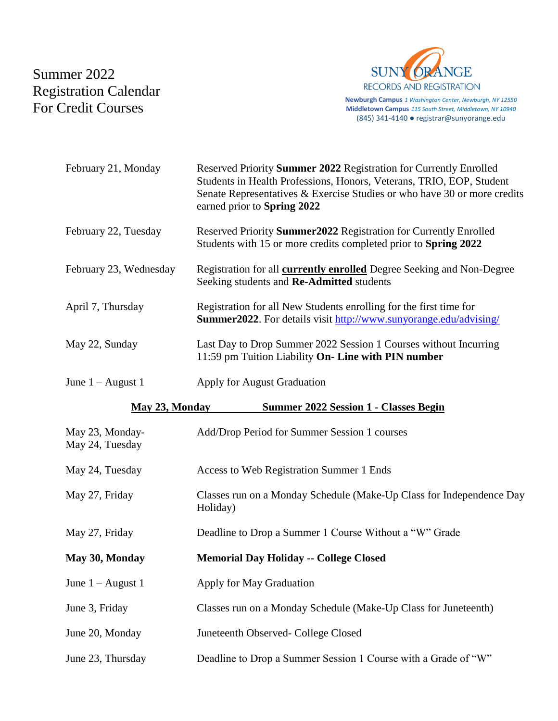## Summer 2022 Registration Calendar For Credit Courses



**Newburgh Campus** *1 Washington Center, Newburgh, NY 12550* **Middletown Campus** *115 South Street, Middletown, NY 10940* (845) 341-4140 ● registrar@sunyorange.edu

| February 21, Monday                                            | Reserved Priority Summer 2022 Registration for Currently Enrolled<br>Students in Health Professions, Honors, Veterans, TRIO, EOP, Student<br>Senate Representatives & Exercise Studies or who have 30 or more credits<br>earned prior to Spring 2022 |
|----------------------------------------------------------------|------------------------------------------------------------------------------------------------------------------------------------------------------------------------------------------------------------------------------------------------------|
| February 22, Tuesday                                           | Reserved Priority Summer2022 Registration for Currently Enrolled<br>Students with 15 or more credits completed prior to Spring 2022                                                                                                                  |
| February 23, Wednesday                                         | Registration for all <b>currently enrolled</b> Degree Seeking and Non-Degree<br>Seeking students and Re-Admitted students                                                                                                                            |
| April 7, Thursday                                              | Registration for all New Students enrolling for the first time for<br><b>Summer2022.</b> For details visit http://www.sunyorange.edu/advising/                                                                                                       |
| May 22, Sunday                                                 | Last Day to Drop Summer 2022 Session 1 Courses without Incurring<br>11:59 pm Tuition Liability On- Line with PIN number                                                                                                                              |
| June $1 -$ August 1                                            | <b>Apply for August Graduation</b>                                                                                                                                                                                                                   |
| May 23, Monday<br><b>Summer 2022 Session 1 - Classes Begin</b> |                                                                                                                                                                                                                                                      |
| May 23, Monday-<br>May 24, Tuesday                             | Add/Drop Period for Summer Session 1 courses                                                                                                                                                                                                         |
| May 24, Tuesday                                                | Access to Web Registration Summer 1 Ends                                                                                                                                                                                                             |
| May 27, Friday                                                 | Classes run on a Monday Schedule (Make-Up Class for Independence Day<br>Holiday)                                                                                                                                                                     |
| May 27, Friday                                                 | Deadline to Drop a Summer 1 Course Without a "W" Grade                                                                                                                                                                                               |
| May 30, Monday                                                 | <b>Memorial Day Holiday -- College Closed</b>                                                                                                                                                                                                        |
| June $1 -$ August 1                                            | Apply for May Graduation                                                                                                                                                                                                                             |
| June 3, Friday                                                 | Classes run on a Monday Schedule (Make-Up Class for Juneteenth)                                                                                                                                                                                      |
| June 20, Monday                                                | Juneteenth Observed- College Closed                                                                                                                                                                                                                  |
| June 23, Thursday                                              | Deadline to Drop a Summer Session 1 Course with a Grade of "W"                                                                                                                                                                                       |